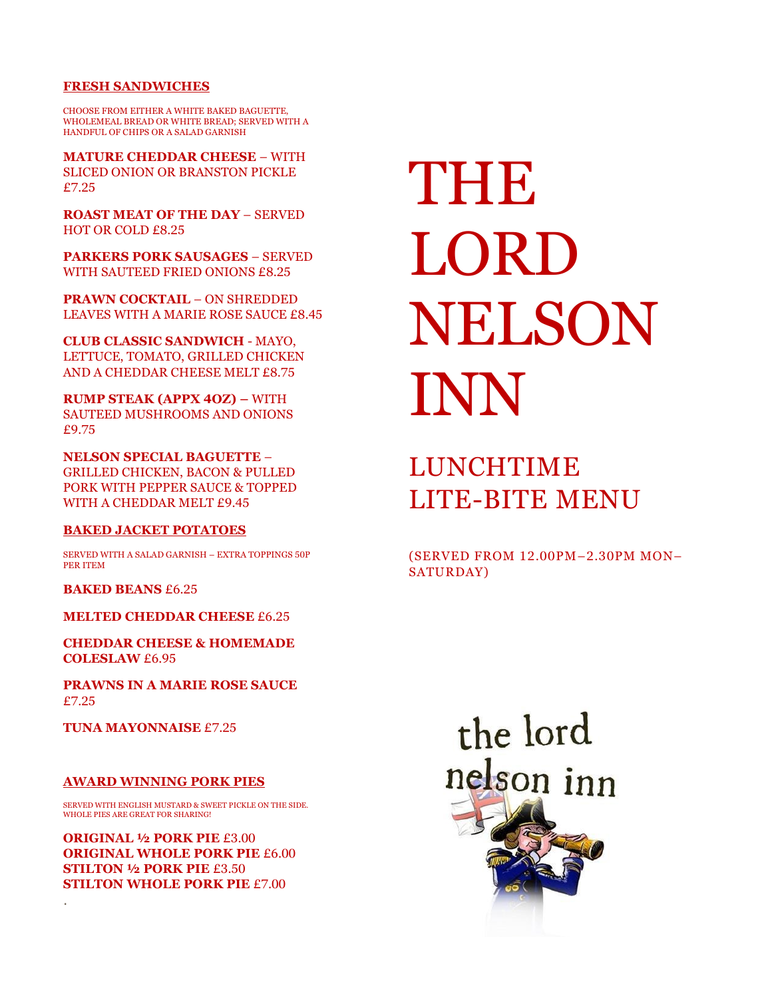#### **FRESH SANDWICHES**

CHOOSE FROM EITHER A WHITE BAKED BAGUETTE, WHOLEMEAL BREAD OR WHITE BREAD; SERVED WITH A HANDFUL OF CHIPS OR A SALAD GARNISH

**MATURE CHEDDAR CHEESE** – WITH SLICED ONION OR BRANSTON PICKLE £7.25

**ROAST MEAT OF THE DAY** – SERVED HOT OR COLD £8.25

**PARKERS PORK SAUSAGES** – SERVED WITH SAUTEED FRIED ONIONS £8.25

**PRAWN COCKTAIL** – ON SHREDDED LEAVES WITH A MARIE ROSE SAUCE £8.45

**CLUB CLASSIC SANDWICH** - MAYO, LETTUCE, TOMATO, GRILLED CHICKEN AND A CHEDDAR CHEESE MELT £8.75

**RUMP STEAK (APPX 4OZ) –** WITH SAUTEED MUSHROOMS AND ONIONS £9.75

**NELSON SPECIAL BAGUETTE** – GRILLED CHICKEN, BACON & PULLED PORK WITH PEPPER SAUCE & TOPPED WITH A CHEDDAR MELT £9.45

#### **BAKED JACKET POTATOES**

SERVED WITH A SALAD GARNISH – EXTRA TOPPINGS 50P PER ITEM

**BAKED BEANS** £6.25

**MELTED CHEDDAR CHEESE** £6.25

**CHEDDAR CHEESE & HOMEMADE COLESLAW** £6.95

**PRAWNS IN A MARIE ROSE SAUCE** £7.25

**TUNA MAYONNAISE** £7.25

.

#### **AWARD WINNING PORK PIES**

SERVED WITH ENGLISH MUSTARD & SWEET PICKLE ON THE SIDE. WHOLE PIES ARE GREAT FOR SHARING!

**ORIGINAL ½ PORK PIE** £3.00 **ORIGINAL WHOLE PORK PIE** £6.00 **STILTON ½ PORK PIE** £3.50 **STILTON WHOLE PORK PIE** £7.00

# THE LORD NELSON INN

### LUNCHTIME LITE-BITE MENU

(SERVED FROM 12.00PM–2.30PM MON– SATURDAY)